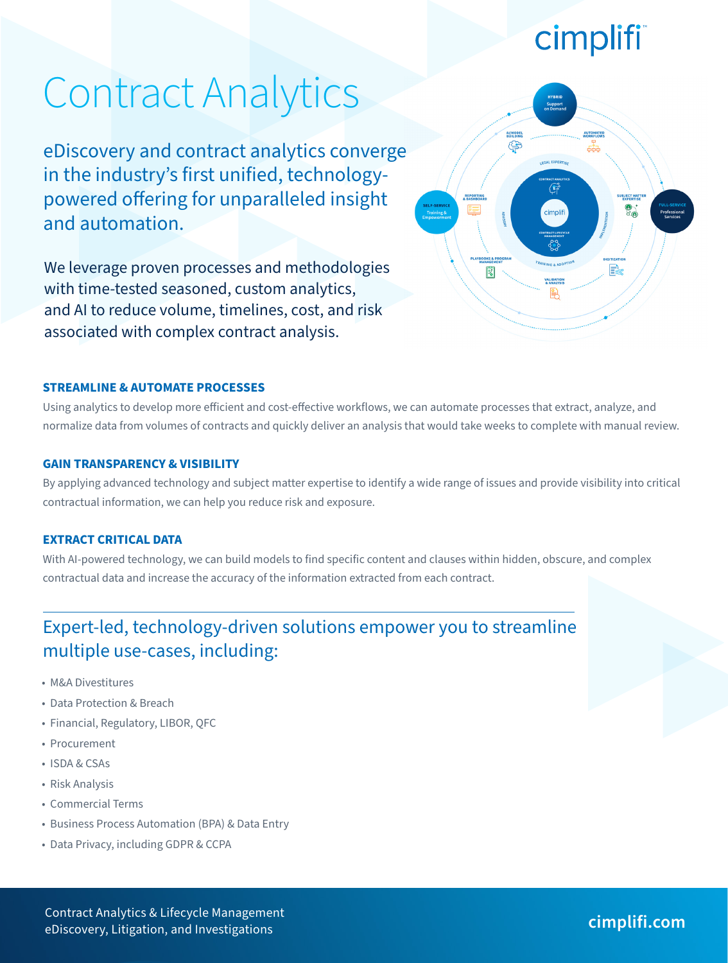## cimplifi

AUTOMATE

AI/MODEL

⊜

囪

# Contract Analytics

eDiscovery and contract analytics converge in the industry's first unified, technologypowered offering for unparalleled insight and automation.

We leverage proven processes and methodologies with time-tested seasoned, custom analytics, and AI to reduce volume, timelines, cost, and risk associated with complex contract analysis.

#### **STREAMLINE & AUTOMATE PROCESSES**

Using analytics to develop more efficient and cost-effective workflows, we can automate processes that extract, analyze, and normalize data from volumes of contracts and quickly deliver an analysis that would take weeks to complete with manual review.

#### **GAIN TRANSPARENCY & VISIBILITY**

By applying advanced technology and subject matter expertise to identify a wide range of issues and provide visibility into critical contractual information, we can help you reduce risk and exposure.

#### **EXTRACT CRITICAL DATA**

With AI-powered technology, we can build models to find specific content and clauses within hidden, obscure, and complex contractual data and increase the accuracy of the information extracted from each contract.

## Expert-led, technology-driven solutions empower you to streamline multiple use-cases, including:

- M&A Divestitures
- Data Protection & Breach
- Financial, Regulatory, LIBOR, QFC
- Procurement
- ISDA & CSAs
- Risk Analysis
- Commercial Terms
- Business Process Automation (BPA) & Data Entry
- Data Privacy, including GDPR & CCPA

Contract Analytics & Lifecycle Management eDiscovery, Litigation, and Investigations **cimplifi.com**